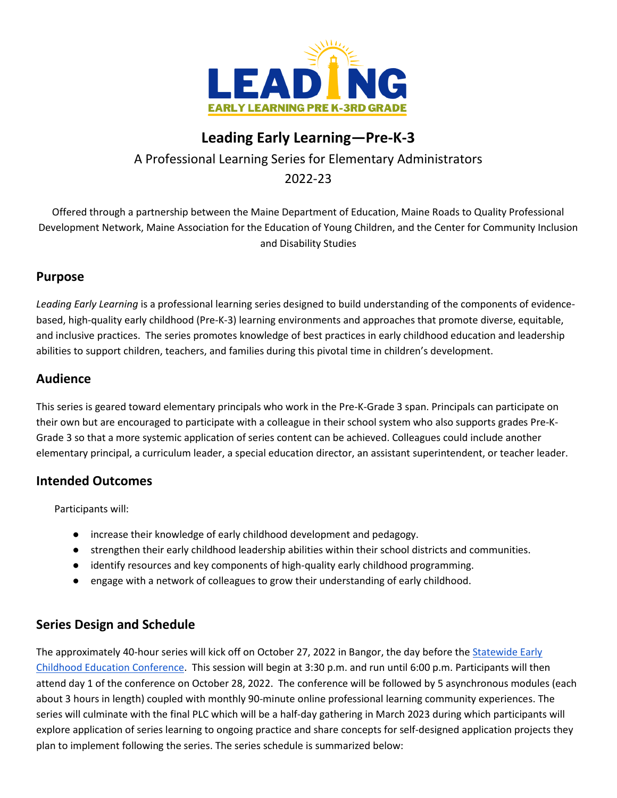

# **Leading Early Learning—Pre-K-3**

A Professional Learning Series for Elementary Administrators 2022-23

Offered through a partnership between the Maine Department of Education, Maine Roads to Quality Professional Development Network, Maine Association for the Education of Young Children, and the Center for Community Inclusion and Disability Studies

# **Purpose**

*Leading Early Learning* is a professional learning series designed to build understanding of the components of evidencebased, high-quality early childhood (Pre-K-3) learning environments and approaches that promote diverse, equitable, and inclusive practices. The series promotes knowledge of best practices in early childhood education and leadership abilities to support children, teachers, and families during this pivotal time in children's development.

### **Audience**

This series is geared toward elementary principals who work in the Pre-K-Grade 3 span. Principals can participate on their own but are encouraged to participate with a colleague in their school system who also supports grades Pre-K-Grade 3 so that a more systemic application of series content can be achieved. Colleagues could include another elementary principal, a curriculum leader, a special education director, an assistant superintendent, or teacher leader.

# **Intended Outcomes**

Participants will:

- increase their knowledge of early childhood development and pedagogy.
- strengthen their early childhood leadership abilities within their school districts and communities.
- identify resources and key components of high-quality early childhood programming.
- engage with a network of colleagues to grow their understanding of early childhood.

# **Series Design and Schedule**

The approximately 40-hour series will kick off on October 27, 2022 in Bangor, the day before the Statewide Early Childhood Education Conference. This session will begin at 3:30 p.m. and run until 6:00 p.m. Participants will then attend day 1 of the conference on October 28, 2022. The conference will be followed by 5 asynchronous modules (each about 3 hours in length) coupled with monthly 90-minute online professional learning community experiences. The series will culminate with the final PLC which will be a half-day gathering in March 2023 during which participants will explore application of series learning to ongoing practice and share concepts for self-designed application projects they plan to implement following the series. The series schedule is summarized below: